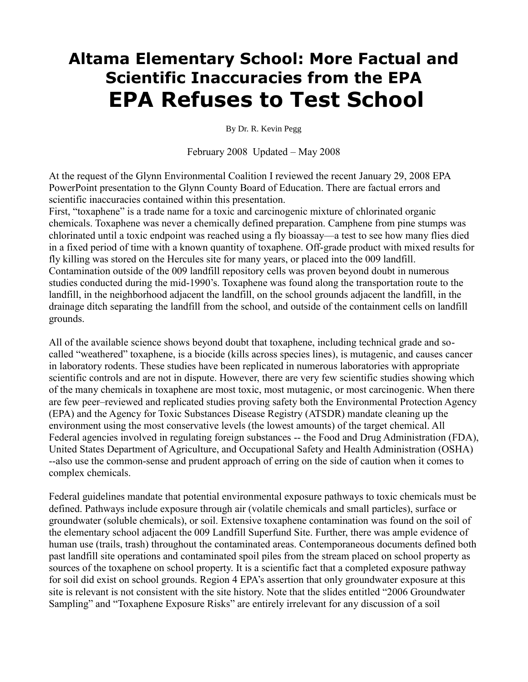## **Altama Elementary School: More Factual and Scientific Inaccuracies from the EPA EPA Refuses to Test School**

By Dr. R. Kevin Pegg

February 2008 Updated – May 2008

At the request of the Glynn Environmental Coalition I reviewed the recent January 29, 2008 EPA PowerPoint presentation to the Glynn County Board of Education. There are factual errors and scientific inaccuracies contained within this presentation.

First, "toxaphene" is a trade name for a toxic and carcinogenic mixture of chlorinated organic chemicals. Toxaphene was never a chemically defined preparation. Camphene from pine stumps was chlorinated until a toxic endpoint was reached using a fly bioassay—a test to see how many flies died in a fixed period of time with a known quantity of toxaphene. Off-grade product with mixed results for fly killing was stored on the Hercules site for many years, or placed into the 009 landfill. Contamination outside of the 009 landfill repository cells was proven beyond doubt in numerous studies conducted during the mid-1990's. Toxaphene was found along the transportation route to the landfill, in the neighborhood adjacent the landfill, on the school grounds adjacent the landfill, in the drainage ditch separating the landfill from the school, and outside of the containment cells on landfill grounds.

All of the available science shows beyond doubt that toxaphene, including technical grade and socalled "weathered" toxaphene, is a biocide (kills across species lines), is mutagenic, and causes cancer in laboratory rodents. These studies have been replicated in numerous laboratories with appropriate scientific controls and are not in dispute. However, there are very few scientific studies showing which of the many chemicals in toxaphene are most toxic, most mutagenic, or most carcinogenic. When there are few peer–reviewed and replicated studies proving safety both the Environmental Protection Agency (EPA) and the Agency for Toxic Substances Disease Registry (ATSDR) mandate cleaning up the environment using the most conservative levels (the lowest amounts) of the target chemical. All Federal agencies involved in regulating foreign substances -- the Food and Drug Administration (FDA), United States Department of Agriculture, and Occupational Safety and Health Administration (OSHA) --also use the common-sense and prudent approach of erring on the side of caution when it comes to complex chemicals.

Federal guidelines mandate that potential environmental exposure pathways to toxic chemicals must be defined. Pathways include exposure through air (volatile chemicals and small particles), surface or groundwater (soluble chemicals), or soil. Extensive toxaphene contamination was found on the soil of the elementary school adjacent the 009 Landfill Superfund Site. Further, there was ample evidence of human use (trails, trash) throughout the contaminated areas. Contemporaneous documents defined both past landfill site operations and contaminated spoil piles from the stream placed on school property as sources of the toxaphene on school property. It is a scientific fact that a completed exposure pathway for soil did exist on school grounds. Region 4 EPA's assertion that only groundwater exposure at this site is relevant is not consistent with the site history. Note that the slides entitled "2006 Groundwater Sampling" and "Toxaphene Exposure Risks" are entirely irrelevant for any discussion of a soil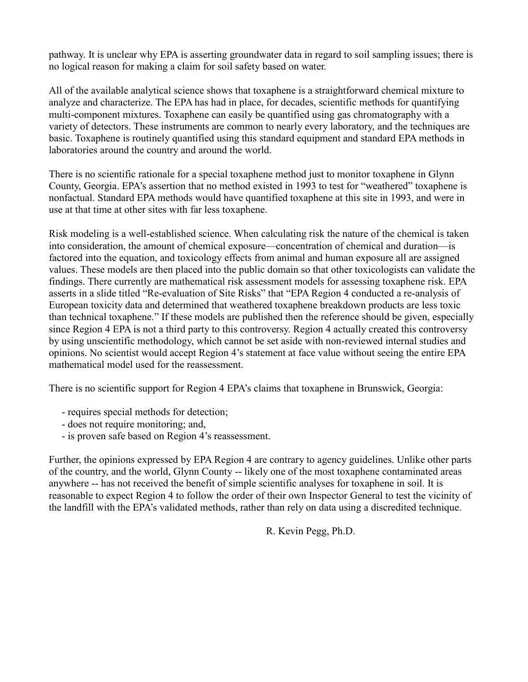pathway. It is unclear why EPA is asserting groundwater data in regard to soil sampling issues; there is no logical reason for making a claim for soil safety based on water.

All of the available analytical science shows that toxaphene is a straightforward chemical mixture to analyze and characterize. The EPA has had in place, for decades, scientific methods for quantifying multi-component mixtures. Toxaphene can easily be quantified using gas chromatography with a variety of detectors. These instruments are common to nearly every laboratory, and the techniques are basic. Toxaphene is routinely quantified using this standard equipment and standard EPA methods in laboratories around the country and around the world.

There is no scientific rationale for a special toxaphene method just to monitor toxaphene in Glynn County, Georgia. EPA's assertion that no method existed in 1993 to test for "weathered" toxaphene is nonfactual. Standard EPA methods would have quantified toxaphene at this site in 1993, and were in use at that time at other sites with far less toxaphene.

Risk modeling is a well-established science. When calculating risk the nature of the chemical is taken into consideration, the amount of chemical exposure—concentration of chemical and duration—is factored into the equation, and toxicology effects from animal and human exposure all are assigned values. These models are then placed into the public domain so that other toxicologists can validate the findings. There currently are mathematical risk assessment models for assessing toxaphene risk. EPA asserts in a slide titled "Re-evaluation of Site Risks" that "EPA Region 4 conducted a re-analysis of European toxicity data and determined that weathered toxaphene breakdown products are less toxic than technical toxaphene." If these models are published then the reference should be given, especially since Region 4 EPA is not a third party to this controversy. Region 4 actually created this controversy by using unscientific methodology, which cannot be set aside with non-reviewed internal studies and opinions. No scientist would accept Region 4's statement at face value without seeing the entire EPA mathematical model used for the reassessment.

There is no scientific support for Region 4 EPA's claims that toxaphene in Brunswick, Georgia:

- requires special methods for detection;
- does not require monitoring; and,
- is proven safe based on Region 4's reassessment.

Further, the opinions expressed by EPA Region 4 are contrary to agency guidelines. Unlike other parts of the country, and the world, Glynn County -- likely one of the most toxaphene contaminated areas anywhere -- has not received the benefit of simple scientific analyses for toxaphene in soil. It is reasonable to expect Region 4 to follow the order of their own Inspector General to test the vicinity of the landfill with the EPA's validated methods, rather than rely on data using a discredited technique.

R. Kevin Pegg, Ph.D.